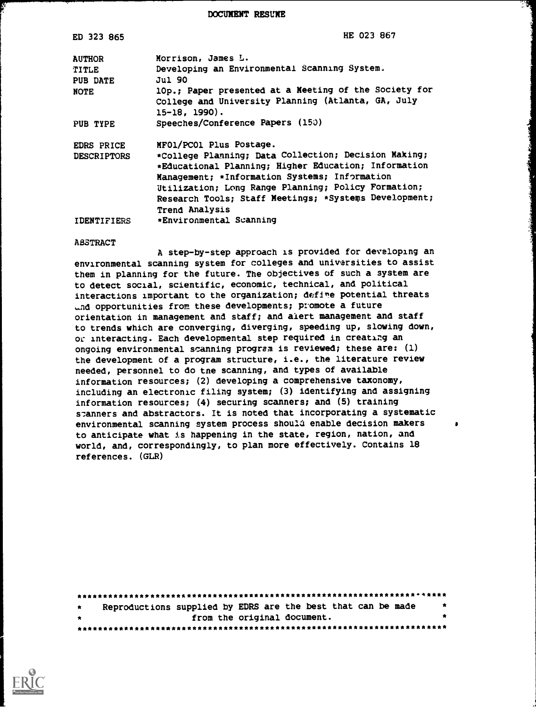DOCUMENT RESUME

| ED 323 865         | HE 023 867                                                                |
|--------------------|---------------------------------------------------------------------------|
| <b>AUTHOR</b>      | Morrison, James L.                                                        |
| <b>TITLE</b>       | Developing an Environmental Scanning System.                              |
| <b>PUB DATE</b>    | Jul 90                                                                    |
| <b>NOTE</b>        | 10p.; Paper presented at a Meeting of the Society for                     |
|                    | College and University Planning (Atlanta, GA, July<br>$15-18$ , $1990$ ). |
|                    | Speeches/Conference Papers (150)                                          |
| PUB TYPE           |                                                                           |
| EDRS PRICE         | MFO1/PCO1 Plus Postage.                                                   |
| <b>DESCRIPTORS</b> | *College Planning; Data Collection; Decision Making;                      |
|                    | *Educational Planning; Higher Education; Information                      |
|                    | Management; *Information Systems; Information                             |
|                    | Utilization; Long Range Planning; Policy Formation;                       |
|                    | Research Tools; Staff Meetings; *Systems Development;                     |
|                    | <b>Trend Analysis</b>                                                     |
| <b>IDENTIFIERS</b> | *Environmental Scanning                                                   |

#### ABSTRACT

4

A step-by-step approach is provided for developing an environmental scanning system for colleges and universities to assist them in planning for the future. The objectives of such a system are to detect social, scientific, economic, technical, and political interactions important to the organization; defire potential threats And opportunities from these developments; promote a future orientation in management and staff; and alert management and staff to trends which are converging, diverging, speeding up, slowing down, or interacting. Each developmental step required in creating an ongoing environmental scanning program is reviewed; these are: (1) the development of a program structure, i.e., the literature review needed, personnel to do tne scanning, and types of available information resources; (2) developing a comprehensive taxonomy, including an electronic filing system; (3) identifying and assigning information resources; (4) securing scanners; and (5) training s:anners and abstractors. It is noted that incorporating a systematic environmental scanning system process should enable decision makers to anticipate what is happening in the state, region, nation, and world, and, correspondingly, to plan more effectively. Contains 18 references. (GLR)

| $\star$ | Reproductions supplied by EDRS are the best that can be made | $\bullet$ |
|---------|--------------------------------------------------------------|-----------|
| 大家      | from the original document.                                  |           |
|         |                                                              |           |

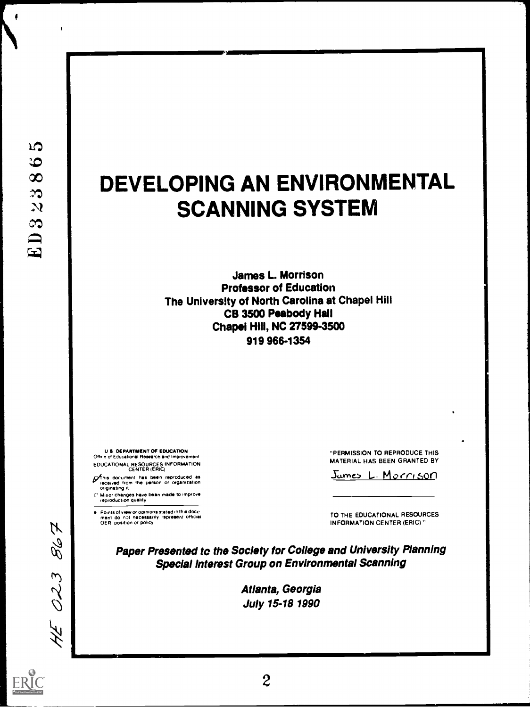f

# DEVELOPING AN ENVIRONMENTAL SCANNING SYSTEM

kIMMIIIINIM1W

**James L. Morrison** Professor of Education The University of North Carolina at Chapel Hill CB 3500 Peabody Hall Chapel Hill, NC 27599-3500 919 966-1354

U S DEPARTMENT OF EDUCATION Ohre of Educational Research and Improvement EDUCATIONAL RESOuRCES INFORMATION CENTER (ERIC)

*p*fihis document has been reproduced as<br>received from the person or organization<br>originating it

[" Minor changes have bean made to improve<br>- reproduction quality

Points of view or opinions statad in this docu<del>.</del><br>menl: do: npt: necessarily: represent: official<br>OERI position or policy

"PERMISSION TO REPRODUCE THIS MATERIAL HAS BEEN GRANTED BY

Jumes L. Morrison

TO THE EDUCATIONAL RESOURCES INFORMATION CENTER (ERIC)"

Paper Presented to the Society for College and University Planning Special Interest Group on Environmental Scanning

> Atlanta, Georgia July 15-18 1990



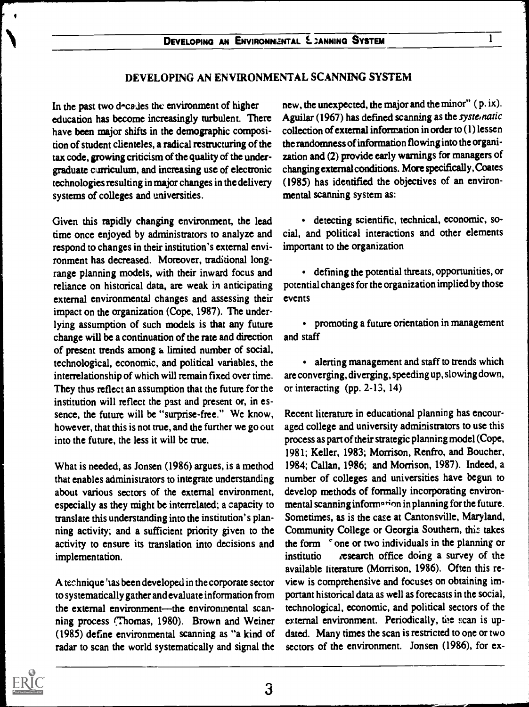#### DEVELOPING AN ENVIRONMENTAL SCANNING SYSTEM

In the past two decades the environment of higher education has become increasingly turbulent. There have been major shifts in the demographic composition of student clienteles, a radical restructuring of the tax code, growing criticism of the quality of the undergraduate curriculum, and increasing use of electronic technologies resulting in major changes in the delivery systems of colleges and universities.

Given this rapidly changing environment, the lead time once enjoyed by administrators to analyze and respond to changes in their institution's external environment has decreased. Moreover, traditional longrange planning models, with their inward focus and reliance on historical data, are weak in anticipating external environmental changes and assessing their impact on the organization (Cope, 1987). The underlying assumption of such models is that any future change will be a continuation of the rate and direction of present trends among a limited number of social, technological, economic, and political variables, the interrelationship of which will remain fixed over time. They thus reflect an assumption that the future for the institution will reflect the past and present or, in essence, the future will be "surprise-free." We know, however, that this is not true, and the further we go out into the future, the less it will be true.

What is needed, as Jonsen (1986) argues, is a method that enables administrators to integrate understanding about various sectors of the external environment, especially as they might be interrelated; a capacity to translate this understanding into the institution's planning activity; and a sufficient priority given to the activity to ensure its translation into decisions and implementation.

A technique 'ias been developed in the corporate sector to systematically gather and evaluate information from the external environment—the environmental scanning process (Thomas, 1980). Brown and Weiner (1985) define environmental scanning as "a kind of radar to scan the world systematically and signal the new, the unexpected, the major and the minor" ( p. ix). Aguilar (1967) has defined scanning as the systematic collection of external information in order to (1) lessen the randomness of information flowing into the organization and (2) provide early warnings for managers of changing external conditions. More specifically, Coates (1985) has identified the objectives of an environmental scanning system as:

detecting scientific, technical, economic, social, and political interactions and other elements important to the organization

defining the potential threats, opportunities, or potential changes for the organization implied by those events

promoting a future orientation in management and staff

• alerting management and staff to trends which are converging, diverging, speeding up, slowing down, or interacting (pp. 2-13, 14)

Recent literature in educational planning has encouraged college and university administrators to use this process as part of their strategic planning model (Cope, 1981; Keller, 1983; Morrison, Renfro, and Boucher, 1984; Callan, 1986; and Morrison, 1987). Indeed, a number of colleges and universities have begun to develop methods of formally incorporating environmental scanning information in planning for the future. Sometimes, as is the case at Cantonsville, Maryland, Community College or Georgia Southern, this takes the form <sup>c</sup> one or two individuals in the planning or institutio research office doing a survey of the available literature (Morrison, 1986). Often this review is comprehensive and focuses on obtaining important historical data as well as forecasts in the social, technological, economic, and political sectors of the external environment. Periodically, the scan is updated. Many times the scan is restricted to one or two sectors of the environment. Jonsen (1986), for ex-

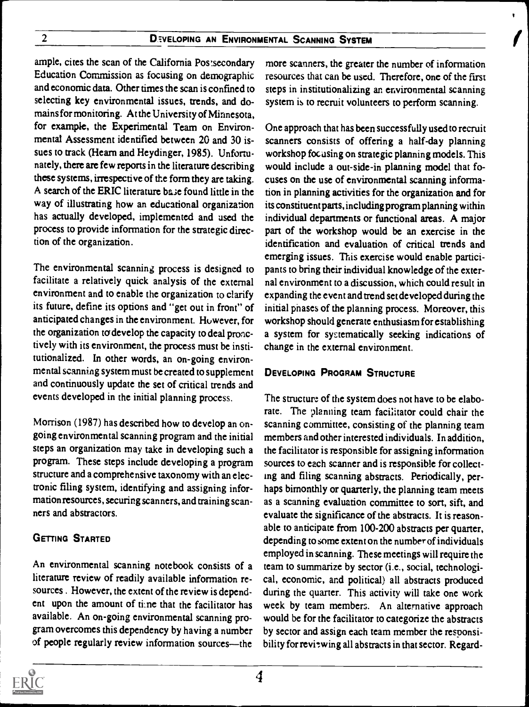ample, cites the scan of the California Postsecondary Education Commission as focusing on demographic and economic data. Other times the scan is confined to selecting key environmental issues, trends, and domains for monitoring. At the University of Minnesota, for example, the Experimental Team on Environmental Assessment identified between 20 and 30 issues to track (Hearn and Heydinger, 1985). Unfortunately, there are few reports in the literature describing these systems, irrespective of the form they are taking. A search of the ERIC literature base found little in the way of illustrating how an educational organization has actually developed, implemented and used the process to provide information for the strategic direction of the organization.

The environmental scanning process is designed to facilitate a relatively quick analysis of the external environment and to enable the organization to clarify its future, define its options and "get out in front" of anticipated changes in the environment. However, for the organization to develop the capacity to deal pronctively with its environment, the process must be institutionalized. In other words, an on-going environmental scanning system must be created to supplement and continuously update the set of critical trends and events developed in the initial planning process.

Morrison (1987) has described how to develop an ongoing environmental scanning program and the initial steps an organization may take in developing such a program. These steps include developing a program structure and a comprehensive taxonomy with an electronic filing system, identifying and assigning information resources, securing scanners, and training scanners and abstractors.

## GETTING STARTED

An environmental scanning notebook consists of a literature review of readily available information resources . However, the extent of the review is dependent upon the amount of ti:ne that the facilitator has available. An on-going environmental scanning program overcomes this dependency by having a number of people regularly review information sources-the

more scanners, the greater the number of information resources that can be used. Therefore, one of the first steps in institutionalizing an environmental scanning system is to recruit volunteers to perform scanning.

v

I

One approach that has been successfully used to recruit scanners consists of offering a half-day planning workshop focusing on strategic planning models. This would include a out-side-in planning model that focuses on the use of environmental scanning information in planning activities for the organization and for its constituent parts, including program planning within individual departments or functional areas. A major part of the workshop would be an exercise in the identification and evaluation of critical trends and emerging issues. This exercise would enable participants to bring their individual knowledge of the external environment to a discussion, which could result in expanding the event and trend set developed during the initial phases of the planning process. Moreover, this workshop should generate enthusiasm for establishing a system for systematically seeking indications of change in the external environment.

#### DEVELOPING PROGRAM STRUCTURE

The structure of the system does not have to be elaborate. The planning team facilitator could chair the scanning committee, consisting of the planning team members and other interested individuals. In addition, the facilitator is responsible for assigning information sources to each scanner and is responsible for collecting and filing scanning abstracts. Periodically, perhaps bimonthly or quarterly, the planning team meets as a scanning evaluation committee to sort, sift, and evaluate the significance of the abstracts. It is reasonable to anticipate from 100-200 abstracts per quarter, depending to some extent on the number of individuals employed in scanning. These meetings will require the team to summarize by sector (i.e., social, technological, economic, and political) all abstracts produced during the quarter. This activity will take one work week by team members. An alternative approach would be for the facilitator to categorize the abstracts by sector and assign each team member the responsibility for reviewing all abstracts in that sector. Regard-



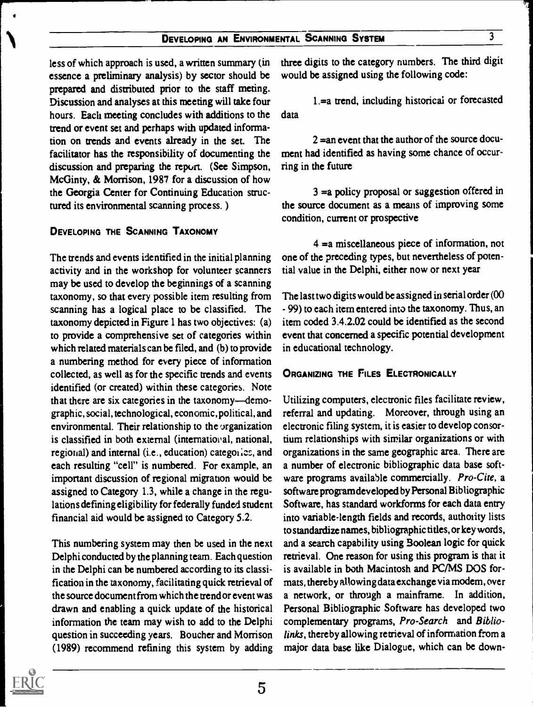less of which approach is used, a written summary (in essence a preliminary analysis) by sector should be prepared and distributed prior to the staff meting. Discussion and analyses at this meeting will take four hours. Each meeting concludes with additions to the trend or event set and perhaps with updated information on trends and events already in the set. The facilitator has the responsibility of documenting the discussion and preparing the report. (See Simpson, McGinty, & Morrison, 1987 for a discussion of how the Georgia Center for Continuing Education structured its environmental scanning process. )

#### DEVELOPING THE SCANNING TAXONOMY

The trends and events identified in the initial planning activity and in the workshop for volunteer scanners may be used to develop the beginnings of a scanning taxonomy, so that every possible item resulting from scanning has a logical place to be classified. The taxonomy depicted in Figure 1 has two objectives: (a) to provide a comprehensive set of categories within which related materials can be filed, and (b) to provide a numbering method for every piece of information collected, as well as for the specific trends and events identified (or created) within these categories. Note that there are six categories in the taxonomy-demographic, social, technological, economic, political, and environmental. Their relationship to the  $\sigma$  reganization is classified in both external (international, national, regional) and internal (i.e., education) categories, and each resulting "cell" is numbered. For example, an important discussion of regional migration would be assigned to Category 1.3, while a change in the regulations defining eligibility for federally funded student financial aid would be assigned to Category 5.2.

This numbering system may then be used in the next Delphi conducted by the planning team. Each question in the Delphi can be numbered according to its classification in the taxonomy, facilitating quick retrieval of the source document from which the trend or event was drawn and enabling a quick update of the historical information the team may wish to add to the Delphi question in succeeding years. Boucher and Morrison (1989) recommend refining this system by adding

three digits to the category numbers. The third digit would be assigned using the following code:

1.=a trend, including historical or forecasted data

 $2 =$ an event that the author of the source document had identified as having some chance of occurring in the future

3 =a policy proposal or suggestion offered in the source document as a means of improving some condition, current or prospective

4 =a miscellaneous piece of information, not one of the preceding types, but nevertheless of potential value in the Delphi, either now or next year

The last two digits would be assigned in serial order (00 - 99) to each item entered into the taxonomy. Thus, an item coded 3.4.2.02 could be identified as the second event that concerned a specific potential development in educational technology.

#### ORGANIZING THE FILES ELECTRONICALLY

Utilizing computers, electronic files facilitate review, referral and updating. Moreover, through using an electronic filing system, it is easier to develop consortium relationships with similar organizations or with organizations in the same geographic area. There are a number of electronic bibliographic data base software programs available commercially. Pro-Cite, a software program developed by Personal Bibliographic Software, has standard workforms for each data entry into variable-length fields and records, authority lists to standardize names, bibliographic titles, or key words, and a search capability using Boolean logic for quick retrieval. One reason for using this program is that it is available in both Macintosh and PC/MS DOS formats, thereby allowing data exchange via modem, over a network, or through a mainframe. In addition, Personal Bibliographic Software has developed two complementary programs, Pro-Search and Bibliolinks, thereby allowing retrieval of information from a major data base like Dialogue, which can be down-

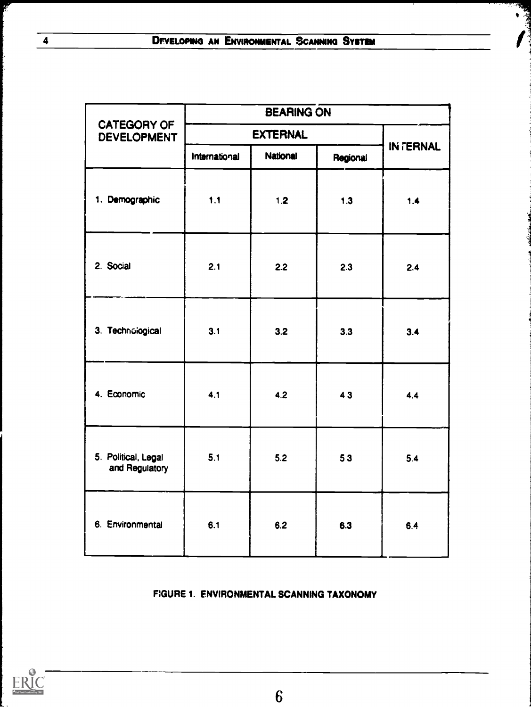**T** 

|                                          | <b>BEARING ON</b> |                 |          |           |  |
|------------------------------------------|-------------------|-----------------|----------|-----------|--|
| <b>CATEGORY OF</b><br><b>DEVELOPMENT</b> |                   | <b>EXTERNAL</b> |          |           |  |
|                                          | International     | <b>National</b> | Regional | IN TERNAL |  |
| 1. Demographic                           | 1.1               | 1.2             | $1.3$    | 1.4       |  |
| 2. Social                                | 2.1               | 2.2             | 2.3      | 2.4       |  |
| 3. Technological                         | 3.1               | 3.2             | 3.3      | 3.4       |  |
| 4. Economic                              | 4.1               | 4.2             | 43       | 4.4       |  |
| 5. Political, Legal<br>and Regulatory    | 5.1               | 5.2             | 53       | 5.4       |  |
| 6. Environmental                         | 6.1               | 6.2             | 6.3      | 6.4       |  |

## FIGURE 1. ENVIRONMENTAL SCANNING TAXONOMY



F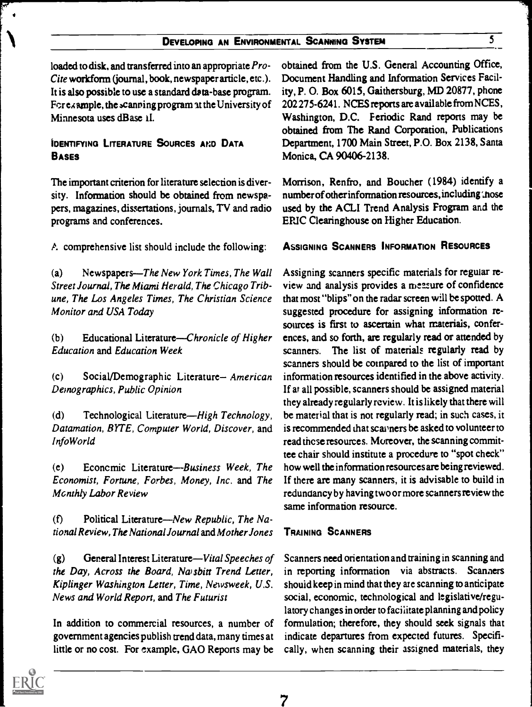## DEVELOPING AN ENVIRONMENTAL SCANNING SYSTEM 5

loaded to disk, and transferred into an appropriate Pro-Cite workform (journal, book, newspaper article, etc.). It is also possible to use a standard data-base program. For example, the scanning program at the University of Minnesota uses dBase iI.

#### IDENTIFYING LITERATURE SOURCES AND DATA **BASES**

The important criterion for literature selection is diversity. Information should be obtained from newspapers, magazines, dissertations, journals, TV and radio programs and conferences.

A comprehensive list should include the following:

(a) Newspapers—The New York Times, The Wall Street Journal, The Miami Herald, The Chicago Tribune, The Los Angeles Times, The Christian Science Monitor and USA Today

 $(b)$  Educational Literature—Chronicle of Higher Education and Education Week

(c) Social/Demographic Literature- American Demographics, Public Opinion

(d) Technological Literature—High Technology, Datamation, BYTE, Computer World, Discover, and InfoWorld

 $(e)$  Economic Literature—Business Week, The Economist, Fortune, Forbes, Money, Inc. and The Mcnthly Labor Review

(f) Political Literature—New Republic, The National Review, The National Journal and Mother Jones

 $(g)$  General Interest Literature—Vital Speeches of the Day, Across the Board, Na sbitt Trend Letter, Kiplinger Washington Letter, Time, Newsweek, U.S. News and World Report, and The Futurist

In addition to commercial resources, a number of government agencies publish trend data, many times at little or no cost. For example, GAO Reports may be obtained from the U.S. General Accounting Office, Document Handling and Information Services Facility, P. 0. Box 6015, Gaithersburg, MD 20877, phone 202275-6241. NCES reports are available from NCES , Washington, D.C. Periodic Rand reports may be obtained from The Rand Corporation, Publications Department, 1700 Main Street, P.O. Box 2138, Santa Monica, CA 90406-2138.

Morrison, Renfro, and Boucher (1984) identify a number of other information resources, including ',hose used by the ACLI Trend Analysis Frogram and the ERIC Clearinghouse on Higher Education.

#### ASSIGNING SCANNERS INFORMATION RESOURCES

Assigning scanners specific materials for regular review and analysis provides a meazure of confidence that most "blips" on the radar screen will be spotted. A suggested procedure for assigning information resources is first to ascertain what materials, conferences, and so forth, are regularly read or attended by scanners. The list of materials regularly read by scanners should be compared to the list of important information resources identified in the above activity. If at all possible, scanners should be assigned material they already regularly review. It is likely that there will be material that is not regularly read; in such cascs, it is recommended that scanners be asked to volunteer to read these resources. Moreover, the scanning committee chair should institute a procedure to "spot check" how well the information resources are being reviewed. If there are many scanners, it is advisable to build in redundancy by having two or more scanners review the same information resource.

#### TRAINING SCANNERS

Scanners need orientation and training in scanning and in reporting information via abstracts. Scanners shouid keep in mind that they are scanning to anticipate social, economic, technological and legislative/regulatory changes in order to facilitate planning and policy formulation; therefore, they should seek signals that indicate departures from expected futures. Specifically, when scanning their assigned materials, they



 $\bullet$  and  $\bullet$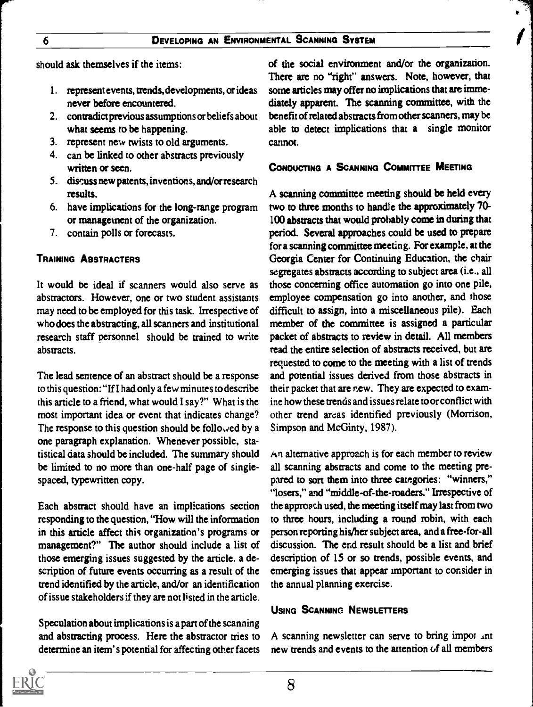should ask themselves if the items:

- 1. represent events, trends, developments, or ideas never before encountered.
- 2. contradict previous assumptions or beliefs about what seems to be happening.
- 3. represent new twists to old arguments.
- 4. can be linked to other abstracts previously written or seen.
- 5. discuss new patents, inventions, and/or research results.
- 6. have implications for the long-range program or management of the organization.
- 7. contain polls or forecasts.

## TRAINING ABSTRACTERS

It would be ideal if scanners would also serve as abstractors. However, one or two student assistants may need to be employed for this task. Irrespective of who does the abstracting, all scanners and institutional research staff personnel should be trained to write abstracts.

The lead sentence of an abstract should be a response to this question: "If I had only a few minutes to describe this article to a friend, what would I say?" What is the most important idea or event that indicates change? The response to this question should be followed by a one paragraph explanation. Whenever possible, statistical data should be included. The summary should be limited to no more than one-half page of singlespaced, typewritten copy.

Each abstract should have an implications section responding to the question, "How will the information in this article affect this organization's programs or management?" The author should include a list of those emerging issues suggested by the article, a description of future events occurring as a result of the trend identified by the article, and/or an identification of issue stakeholders if they are not listed in the article.

Speculation about implications is a part of the scanning and abstracting process. Here the abstractor tries to determine an item's potential for affecting other facets of the social environment and/or the organization. There are no "right" answers. Note, however, that some articles may offer no implications that are immediately apparent. The scanning committee, with the benefit of related abstracts from other scanners, may be able to detect implications that a single monitor cannot

#### CONDUCTING A SCANNING COMMITTEE MEETING

A scanning committee meeting should be held every two to three months to handle the approximately 70- 100 abstracts that would probably come in during that period. Several approaches could be used to prepare for a scanning committee meeting. For example, at the Georgia Center for Continuing Education, the chair segregates abstracts according to subject area (i.e., all those concerning office automation go into one pile, employee compensation go into another, and those difficult to assign, into a miscellaneous pile). Each member of the committee is assigned a particular packet of abstracts to review in detail. All members read the entire selection of abstracts received, but are requested to come to the meeting with a list of trends and potential issues derived from those abstracts in their packet that are new. They are expected to examine how these trends and issues relate to or conflict with other trend areas identified previously (Morrison, Simpson and McGinty, 1987).

 $\forall n$  alternative approach is for each member to review all scanning abstracts and come to the meeting prepared to sort them into three categories: "winners," "losers," and "middle-of-the-roaders." Irrespective of the approach used, the meeting itself may last from two to three hours, including a round robin, with each person reporting his/her subject area, and a free-for-all discussion. The end result should be a list and brief description of 15 or so trends, possible events, and emerging issues that appear important to consider in the annual planning exercise.

#### USING SCANNING NEWSLETTERS

A scanning newsletter can serve to bring impor  $\Delta n$ t new trends and events to the attention of all members

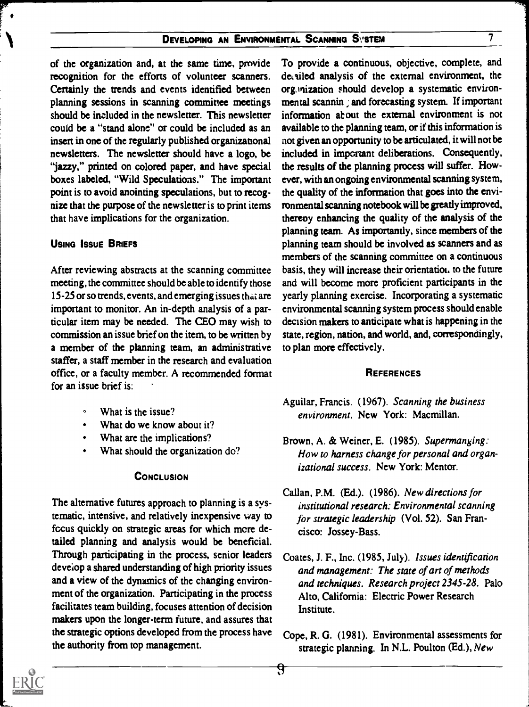## DEVELOPING AN ENVIRONMENTAL SCANNING SVSTEM 7

of the organization and, at the same time, provide recognition for the efforts of volunteer scanners. Certainly the trends and events identified between planning sessions in scanning committee meetings should be included in the newsletter. This newsletter could be a "stand alone" or could be included as an insert in one of the regularly published organizatonal newsletters. The newsletter should have a logo, be "jazzy," printed on colored paper, and have special boxes labeled, "Wild Speculations." The important point is to avoid anointing speculations, but to recognize that the purpose of the newsletter is to print items that have implications for the organization.

#### USING ISSUE BRIEFS

After reviewing abstracts at the scanning committee meeting, the committee should be able to identify those 15-25 or so trends, events, and emerging issues that are important to monitor. An in-depth analysis of a particular item may be needed. The CEO may wish to commission an issue brief on the item, to be written by a member of the planning team, an administrative staffer, a staff member in the research and evaluation office, or a faculty member. A recommended format for an issue brief is:

- What is the issue?
- What do we know about it?
- What are the implications?
- What should the organization do?

#### **CONCLUSION**

The alternative futures approach to planning is a systematic, intensive, and relatively inexpensive way to fccus quickly on strategic areas for which more detailed planning and analysis would be beneficial. Through participating in the process, senior leaders deveiop a shared understanding of high priority issues and a view of the dynamics of the changing environment of the organization. Participating in the process facilitates team building, focuses attention of decision makers upon the longer-term future, and assures that the strategic options developed from the process have the authority from top management.

To provide a continuous, objective, complete, and devalled analysis of the external environment, the orgAization should develop a systematic environmental scannin ; and forecasting system. If important information ab out the external environment is not available to the planning team, or if this information is not given an opportunity to be articulated, it will not be included in important deliberations. Consequently, the results of the planning process will suffer. However, with an ongoing environmental scanning system, the quality of the information that goes into the environmental scanning notebook will be greatly improved, thereoy enhancing the quality of the analysis of the planning team. As importantly, since members of the planning team should be involved as scanners and as members of the scanning committee on a continuous basis, they will increase their orientation, to the future and will become more proficient participants in the yearly planning exercise. Incorporating a systematic environmental scanning system process should enable decision makers to anticipate what is happening in the state, region, nation, and world, and, correspondingly, to plan more effectively.

#### **REFERENCES**

- Aguilar, Francis. (1967). Scanning the business environment. New York: Macmillan.
- Brown, A. & Weiner, E. (1985). Supermanging: How to harness change for personal and organizational success. New York: Mentor.
- Callan, P.M. (Ed.). (1986). New directions for institutional research: Environmental scanning for strategic leadership (Vol. 52). San Francisco: Jossey-Bass.
- Coates, J. F., Inc. (1985, July). Issues identification and management: The state of art of methods and techniques. Research project 2345-28. Palo Alto, California: Electric Power Research Institute.
- Cope, R. G. (1981). Environmental assessments for strategic planning. In N.L. Poulton (Ed.), New

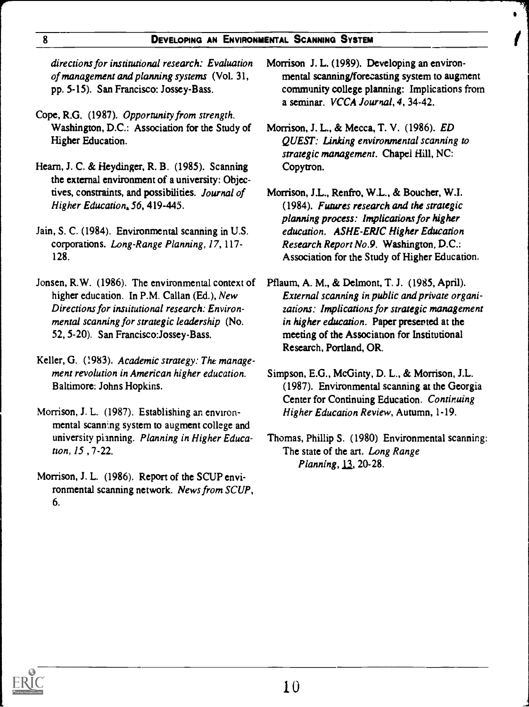#### 8 **DEVELOPING AN ENVIRONMENTAL SCANNING SYSTEM**

directions for institutional research: Evaluation of management and planning systems (Vol. 31, pp. 5-15). San Francisco: Jossey-Bass.

- Cope, R.G. (1987). Opportunity from strength. Washington, D.C.: Association for the Study of Higher Education.
- Hearn, J. C. & Heydinger, R. B. (1985). Scanning the external environment of a university: Objectives, constraints, and possibilities. Journal of Higher Education, 56, 419-445.
- Jain, S. C. (1984). Environmental scanning in U.S. corporations. Long-Range Planning, 17, 117- 128.
- Jonsen, R.W. (1986). The environmental context of higher education. In P.M. Callan (Ed.), New Directions for institutional research: Environmental scanning for strategic leadership (No. 52, 5-20). San Francisco:Jossey-Bass.
- Keller, G. (1983). Academic strategy: The management revolution in American higher education. Baltimore: Johns Hopkins.
- Morrison, J. L. (1987). Establishing an environmental scanning system to augment college and university pianning. Planning in Higher Education, 15 , 7-22.
- Morrison, J. L. (1986). Report of the SCUP environmental scanning network. News from SCUP, 6.
- Morrison J. L. (1989). Developing an environmental scanning/forecasting system to augment community college planning: Implications from a seminar. VCCA Journal, 4, 34-42.
- Morrison, J. L., & Mecca, T. V. (1986). ED QUEST: Linking environmental scanning to strategic management. Chapel Hill, NC: Copytron.
- Morrison, J.L., Renfro, W.L., & Boucher, W.I. (1984). Futures research and the strategic planning process: Implications for higher education. ASHE-ERIC Higher Education Research Report No.9. Washington, D.C.: Association for the Study of Higher Education.
- Pflaum, A. M., & Delmont, T. J. (1985, April). External scanning in public and private organizations: Implications for strategic management in higher education. Paper presented at the meeting of the Association for Institutional Research, Portland, OR.
- Simpson, E.G., McGinty, D. L., & Morrison, J.L. (1987). Environmental scanning at the Georgia Center for Continuing Education. Continuing Higher Education Review, Autumn, 1-19.
- Thomas, Phillip S. (1980) Environmental scanning: The state of the art. Long Range Planning, 13, 20-28.